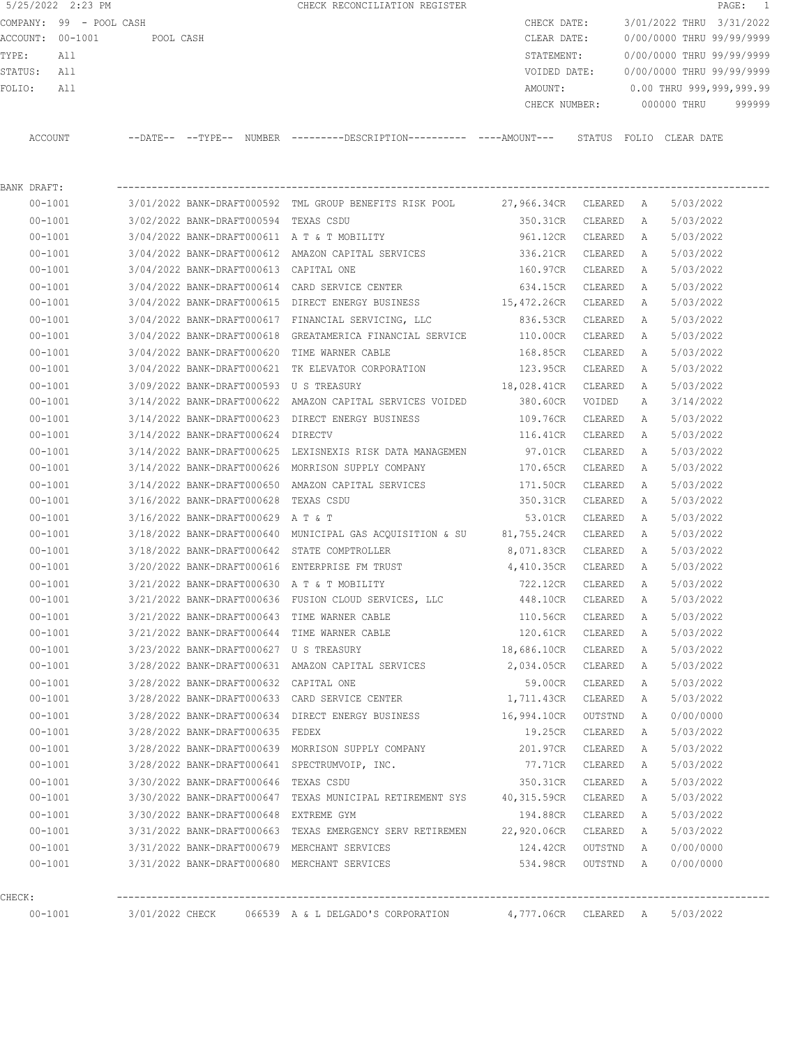5/25/2022 2:23 PM **CHECK RECONCILIATION REGISTER PAGE:** 1 COMPANY: 99 - POOL CASH CHECK DATE: 3/01/2022 THRU 3/31/2022 ACCOUNT: 00-1001 POOL CASH CLEAR DATE: 0/00/0000 THRU 99/99/9999 TYPE: All STATEMENT: 0/00/0000 THRU 99/99/9999 STATUS: All VOIDED DATE: 0/00/0000 THRU 99/99/9999 FOLIO: All 2009, 2009, 2009, 2009, 2009, 2009, 2009, 2009, 2009, 2009, 2009, 2009, 2009, 2009, 2009, 2009, 200 CHECK NUMBER: 000000 THRU 999999 ACCOUNT --DATE-- --TYPE-- NUMBER ---------DESCRIPTION---------- ----AMOUNT--- STATUS FOLIO CLEAR DATE

| BANK DRAFT: |                                                    |                                                                                   |                     |           |          |           |
|-------------|----------------------------------------------------|-----------------------------------------------------------------------------------|---------------------|-----------|----------|-----------|
| 00-1001     |                                                    | 3/01/2022 BANK-DRAFT000592 TML GROUP BENEFITS RISK POOL 27,966.34CR CLEARED A     |                     |           |          | 5/03/2022 |
| $00 - 1001$ | 3/02/2022 BANK-DRAFT000594 TEXAS CSDU              |                                                                                   | 350.31CR CLEARED A  |           |          | 5/03/2022 |
| $00 - 1001$ |                                                    | 3/04/2022 BANK-DRAFT000611 A T & T MOBILITY                                       | 961.12CR CLEARED A  |           |          | 5/03/2022 |
| $00 - 1001$ |                                                    | 3/04/2022 BANK-DRAFT000612 AMAZON CAPITAL SERVICES                                | 336.21CR CLEARED    |           | - A      | 5/03/2022 |
| $00 - 1001$ | 3/04/2022 BANK-DRAFT000613 CAPITAL ONE             |                                                                                   | 160.97CR CLEARED    |           | A        | 5/03/2022 |
| $00 - 1001$ | $3/04/2022$ BANK-DRAFT000614 CARD SERVICE CENTER   |                                                                                   | 634.15CR CLEARED    |           | A        | 5/03/2022 |
| 00-1001     |                                                    | 3/04/2022 BANK-DRAFT000615 DIRECT ENERGY BUSINESS                                 | 15,472.26CR CLEARED |           | A        | 5/03/2022 |
| $00 - 1001$ |                                                    | 3/04/2022 BANK-DRAFT000617 FINANCIAL SERVICING, LLC                               | 836.53CR CLEARED    |           | A        | 5/03/2022 |
| $00 - 1001$ |                                                    | 3/04/2022 BANK-DRAFT000618 GREATAMERICA FINANCIAL SERVICE 110.00CR                |                     | CLEARED   | A        | 5/03/2022 |
| $00 - 1001$ | 3/04/2022 BANK-DRAFT000620 TIME WARNER CABLE       |                                                                                   | 168.85CR CLEARED    |           | A        | 5/03/2022 |
| $00 - 1001$ |                                                    | 3/04/2022 BANK-DRAFT000621 TK ELEVATOR CORPORATION 123.95CR CLEARED               |                     |           | A        | 5/03/2022 |
| $00 - 1001$ | 3/09/2022 BANK-DRAFT000593 U S TREASURY            |                                                                                   | 18,028.41CR CLEARED |           | A        | 5/03/2022 |
| 00-1001     |                                                    | 3/14/2022 BANK-DRAFT000622 AMAZON CAPITAL SERVICES VOIDED 380.60CR VOIDED         |                     |           | A        | 3/14/2022 |
| $00 - 1001$ |                                                    | 3/14/2022 BANK-DRAFT000623 DIRECT ENERGY BUSINESS 109.76CR CLEARED                |                     |           | A        | 5/03/2022 |
| $00 - 1001$ | 3/14/2022 BANK-DRAFT000624 DIRECTV                 |                                                                                   | 116.41CR CLEARED    |           | A        | 5/03/2022 |
| $00 - 1001$ |                                                    | 3/14/2022 BANK-DRAFT000625 LEXISNEXIS RISK DATA MANAGEMEN 97.01CR CLEARED         |                     |           | A        | 5/03/2022 |
| $00 - 1001$ | 3/14/2022 BANK-DRAFT000626 MORRISON SUPPLY COMPANY |                                                                                   | 170.65CR CLEARED    |           | <b>A</b> | 5/03/2022 |
| $00 - 1001$ |                                                    | 3/14/2022 BANK-DRAFT000650 AMAZON CAPITAL SERVICES                                | 171.50CR CLEARED    |           | A        | 5/03/2022 |
| $00 - 1001$ | 3/16/2022 BANK-DRAFT000628 TEXAS CSDU              |                                                                                   | 350.31CR CLEARED    |           | A        | 5/03/2022 |
| $00 - 1001$ | 3/16/2022 BANK-DRAFT000629 A T & T                 |                                                                                   | 53.01CR CLEARED     |           | <b>A</b> | 5/03/2022 |
| $00 - 1001$ |                                                    | 3/18/2022 BANK-DRAFT000640 MUNICIPAL GAS ACQUISITION & SU 81,755.24CR CLEARED A   |                     |           |          | 5/03/2022 |
| $00 - 1001$ |                                                    | $3/18/2022$ BANK-DRAFT000642 STATE COMPTROLLER $8,071.83$ CR CLEARED A            |                     |           |          | 5/03/2022 |
| $00 - 1001$ |                                                    | 3/20/2022 BANK-DRAFT000616 ENTERPRISE FM TRUST 6 4,410.35CR CLEARED A             |                     |           |          | 5/03/2022 |
| $00 - 1001$ |                                                    | 3/21/2022 BANK-DRAFT000630 A T & T MOBILITY                                       | 722.12CR CLEARED    |           | A        | 5/03/2022 |
| $00 - 1001$ |                                                    | 3/21/2022 BANK-DRAFT000636 FUSION CLOUD SERVICES, LLC 448.10CR CLEARED            |                     |           | A        | 5/03/2022 |
| $00 - 1001$ | 3/21/2022 BANK-DRAFT000643 TIME WARNER CABLE       |                                                                                   | 110.56CR CLEARED    |           | A        | 5/03/2022 |
| $00 - 1001$ |                                                    | $3/21/2022$ BANK-DRAFT000644 TIME WARNER CABLE $120.61$ CLEARED                   |                     |           | A        | 5/03/2022 |
| $00 - 1001$ | 3/23/2022 BANK-DRAFT000627 U S TREASURY            |                                                                                   | 18,686.10CR CLEARED |           | - A      | 5/03/2022 |
| $00 - 1001$ |                                                    | 3/28/2022 BANK-DRAFT000631 AMAZON CAPITAL SERVICES 2,034.05CR CLEARED             |                     |           | A        | 5/03/2022 |
| $00 - 1001$ | 3/28/2022 BANK-DRAFT000632 CAPITAL ONE             |                                                                                   | 59.00CR CLEARED     |           | A        | 5/03/2022 |
| $00 - 1001$ | 3/28/2022 BANK-DRAFT000633 CARD SERVICE CENTER     |                                                                                   | 1,711.43CR CLEARED  |           | A        | 5/03/2022 |
| $00 - 1001$ |                                                    | 3/28/2022 BANK-DRAFT000634 DIRECT ENERGY BUSINESS 16,994.10CR OUTSTND             |                     |           | A        | 0/00/0000 |
| $00 - 1001$ | 3/28/2022 BANK-DRAFT000635 FEDEX                   |                                                                                   | 19.25CR CLEARED A   |           |          | 5/03/2022 |
| $00 - 1001$ |                                                    | 3/28/2022 BANK-DRAFT000639 MORRISON SUPPLY COMPANY 201.97CR CLEARED A             |                     |           |          | 5/03/2022 |
| $00 - 1001$ | 3/28/2022 BANK-DRAFT000641 SPECTRUMVOIP, INC.      |                                                                                   | 77.71CR CLEARED A   |           |          | 5/03/2022 |
| $00 - 1001$ | 3/30/2022 BANK-DRAFT000646 TEXAS CSDU              |                                                                                   | 350.31CR            | CLEARED   | A        | 5/03/2022 |
| $00 - 1001$ |                                                    | 3/30/2022 BANK-DRAFT000647 TEXAS MUNICIPAL RETIREMENT SYS                         | 40,315.59CR         | CLEARED   | A        | 5/03/2022 |
| $00 - 1001$ | 3/30/2022 BANK-DRAFT000648 EXTREME GYM             |                                                                                   | 194.88CR            | CLEARED   | Α        | 5/03/2022 |
| $00 - 1001$ |                                                    | 3/31/2022 BANK-DRAFT000663 TEXAS EMERGENCY SERV RETIREMEN                         | 22,920.06CR CLEARED |           | A        | 5/03/2022 |
| $00 - 1001$ | 3/31/2022 BANK-DRAFT000679 MERCHANT SERVICES       |                                                                                   | 124.42CR            | OUTSTND   | A        | 0/00/0000 |
| $00 - 1001$ | 3/31/2022 BANK-DRAFT000680 MERCHANT SERVICES       |                                                                                   | 534.98CR            | OUTSTND A |          | 0/00/0000 |
| CHECK:      |                                                    |                                                                                   |                     |           |          |           |
| $00 - 1001$ |                                                    | 3/01/2022 CHECK 066539 A & L DELGADO'S CORPORATION 4,777.06CR CLEARED A 5/03/2022 |                     |           |          |           |
|             |                                                    |                                                                                   |                     |           |          |           |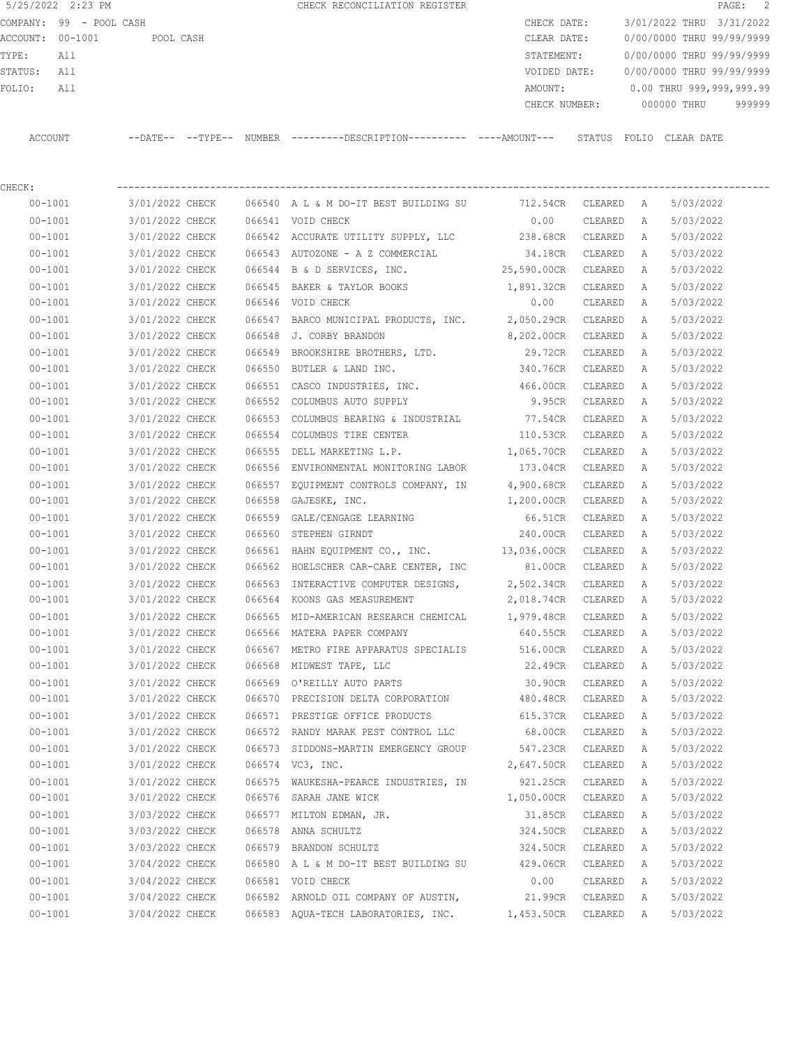5/25/2022 2:23 PM CHECK RECONCILIATION REGISTER PAGE: 2 COMPANY: 99 - POOL CASH CHECK DATE: 3/01/2022 THRU 3/31/2022 ACCOUNT: 00-1001 POOL CASH CLEAR DATE: 0/00/0000 THRU 99/99/9999 TYPE: All STATEMENT: 0/00/0000 THRU 99/99/9999 STATUS: All VOIDED DATE: 0/00/0000 THRU 99/99/9999 FOLIO: All AMOUNT: 0.00 THRU 999,999,999.99 CHECK NUMBER: 000000 THRU 999999 ACCOUNT --DATE-- --TYPE-- NUMBER ---------DESCRIPTION---------- ----AMOUNT--- STATUS FOLIO CLEAR DATE

CHECK: ----------------------------------------------------------------------------------------------------------------

 00-1001 3/01/2022 CHECK 066540 A L & M DO-IT BEST BUILDING SU 712.54CR CLEARED A 5/03/2022 00-1001 3/01/2022 CHECK 066541 VOID CHECK 0.00 CLEARED A 5/03/2022 00-1001 3/01/2022 CHECK 066542 ACCURATE UTILITY SUPPLY, LLC 238.68CR CLEARED A 5/03/2022 00-1001 3/01/2022 CHECK 066543 AUTOZONE - A Z COMMERCIAL 34.18CR CLEARED A 5/03/2022 00-1001 3/01/2022 CHECK 066544 B & D SERVICES, INC. 25,590.00CR CLEARED A 5/03/2022 00-1001 3/01/2022 CHECK 066545 BAKER & TAYLOR BOOKS 1,891.32CR CLEARED A 5/03/2022 00-1001 3/01/2022 CHECK 066546 VOID CHECK 0.00 CLEARED A 5/03/2022 00-1001 3/01/2022 CHECK 066547 BARCO MUNICIPAL PRODUCTS, INC. 2,050.29CR CLEARED A 5/03/2022 00-1001 3/01/2022 CHECK 066548 J. CORBY BRANDON 8,202.00CR CLEARED A 5/03/2022 00-1001 3/01/2022 CHECK 066549 BROOKSHIRE BROTHERS, LTD. 29.72CR CLEARED A 5/03/2022 00-1001 3/01/2022 CHECK 066550 BUTLER & LAND INC. 340.76CR CLEARED A 5/03/2022 00-1001 3/01/2022 CHECK 066551 CASCO INDUSTRIES, INC. 466.00CR CLEARED A 5/03/2022 00-1001 3/01/2022 CHECK 066552 COLUMBUS AUTO SUPPLY 9.95CR CLEARED A 5/03/2022 00-1001 3/01/2022 CHECK 066553 COLUMBUS BEARING & INDUSTRIAL 77.54CR CLEARED A 5/03/2022 00-1001 3/01/2022 CHECK 066554 COLUMBUS TIRE CENTER 110.53CR CLEARED A 5/03/2022 00-1001 3/01/2022 CHECK 066555 DELL MARKETING L.P. 1,065.70CR CLEARED A 5/03/2022 00-1001 3/01/2022 CHECK 066556 ENVIRONMENTAL MONITORING LABOR 173.04CR CLEARED A 5/03/2022 00-1001 3/01/2022 CHECK 066557 EQUIPMENT CONTROLS COMPANY, IN 4,900.68CR CLEARED A 5/03/2022 00-1001 3/01/2022 CHECK 066558 GAJESKE, INC. 1,200.00CR CLEARED A 5/03/2022 00-1001 3/01/2022 CHECK 066559 GALE/CENGAGE LEARNING 66.51CR CLEARED A 5/03/2022 00-1001 3/01/2022 CHECK 066560 STEPHEN GIRNDT 240.00CR CLEARED A 5/03/2022 00-1001 3/01/2022 CHECK 066561 HAHN EQUIPMENT CO., INC. 13,036.00CR CLEARED A 5/03/2022 00-1001 3/01/2022 CHECK 066562 HOELSCHER CAR-CARE CENTER, INC 81.00CR CLEARED A 5/03/2022 00-1001 3/01/2022 CHECK 066563 INTERACTIVE COMPUTER DESIGNS, 2,502.34CR CLEARED A 5/03/2022 00-1001 3/01/2022 CHECK 066564 KOONS GAS MEASUREMENT 2,018.74CR CLEARED A 5/03/2022 00-1001 3/01/2022 CHECK 066565 MID-AMERICAN RESEARCH CHEMICAL 1,979.48CR CLEARED A 5/03/2022 00-1001 3/01/2022 CHECK 066566 MATERA PAPER COMPANY 640.55CR CLEARED A 5/03/2022 00-1001 3/01/2022 CHECK 066567 METRO FIRE APPARATUS SPECIALIS 516.00CR CLEARED A 5/03/2022 00-1001 3/01/2022 CHECK 066568 MIDWEST TAPE, LLC 22.49CR CLEARED A 5/03/2022 00-1001 3/01/2022 CHECK 066569 O'REILLY AUTO PARTS 30.90CR CLEARED A 5/03/2022 00-1001 3/01/2022 CHECK 066570 PRECISION DELTA CORPORATION 480.48CR CLEARED A 5/03/2022 00-1001 3/01/2022 CHECK 066571 PRESTIGE OFFICE PRODUCTS 615.37CR CLEARED A 5/03/2022 00-1001 3/01/2022 CHECK 066572 RANDY MARAK PEST CONTROL LLC 68.00CR CLEARED A 5/03/2022 00-1001 3/01/2022 CHECK 066573 SIDDONS-MARTIN EMERGENCY GROUP 547.23CR CLEARED A 5/03/2022 00-1001 3/01/2022 CHECK 066574 VC3, INC. 2,647.50CR CLEARED A 5/03/2022 00-1001 3/01/2022 CHECK 066575 WAUKESHA-PEARCE INDUSTRIES, IN 921.25CR CLEARED A 5/03/2022 00-1001 3/01/2022 CHECK 066576 SARAH JANE WICK 1,050.00CR CLEARED A 5/03/2022 00-1001 3/03/2022 CHECK 066577 MILTON EDMAN, JR. 31.85CR CLEARED A 5/03/2022 00-1001 3/03/2022 CHECK 066578 ANNA SCHULTZ 324.50CR CLEARED A 5/03/2022 00-1001 3/03/2022 CHECK 066579 BRANDON SCHULTZ 324.50CR CLEARED A 5/03/2022

 00-1001 3/04/2022 CHECK 066580 A L & M DO-IT BEST BUILDING SU 429.06CR CLEARED A 5/03/2022 00-1001 3/04/2022 CHECK 066581 VOID CHECK 0.00 CLEARED A 5/03/2022 00-1001 3/04/2022 CHECK 066582 ARNOLD OIL COMPANY OF AUSTIN, 21.99CR CLEARED A 5/03/2022 00-1001 3/04/2022 CHECK 066583 AQUA-TECH LABORATORIES, INC. 1,453.50CR CLEARED A 5/03/2022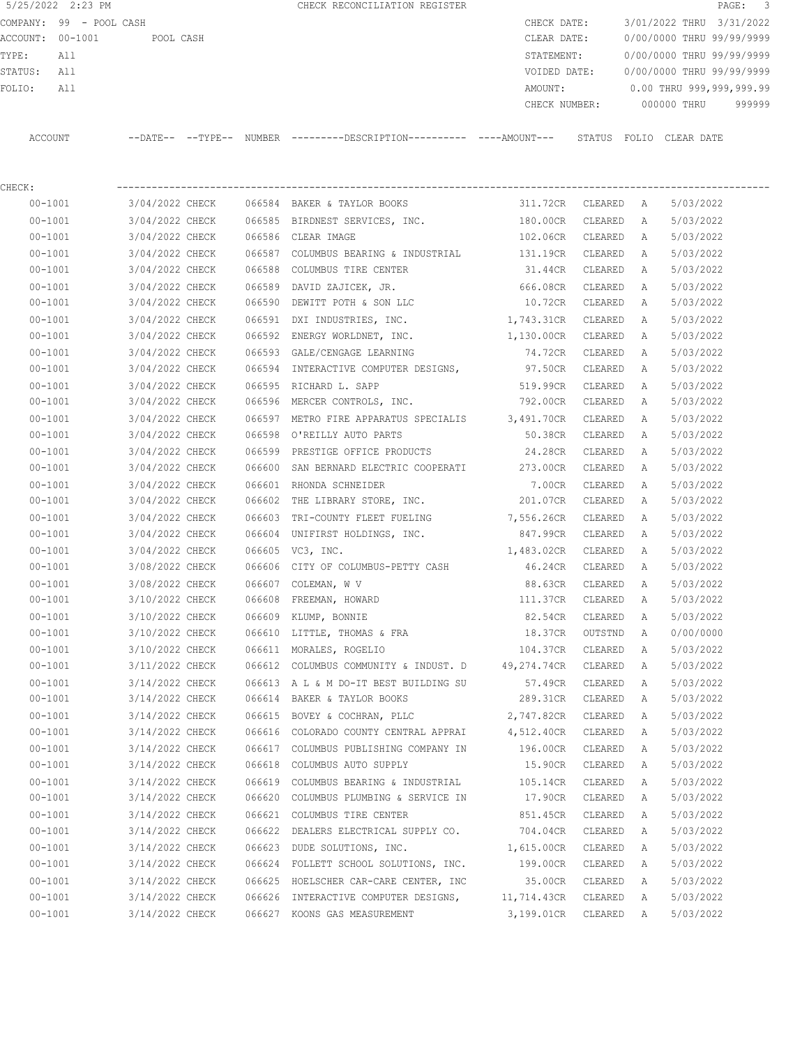|                  | 5/25/2022 2:23 PM       |           | CHECK RECONCILIATION REGISTER |               |                           | PAGE: 3 |  |
|------------------|-------------------------|-----------|-------------------------------|---------------|---------------------------|---------|--|
|                  | COMPANY: 99 - POOL CASH |           |                               | CHECK DATE:   | 3/01/2022 THRU 3/31/2022  |         |  |
| ACCOUNT: 00-1001 |                         | POOL CASH |                               | CLEAR DATE:   | 0/00/0000 THRU 99/99/9999 |         |  |
| TYPE:            | All                     |           |                               | STATEMENT:    | 0/00/0000 THRU 99/99/9999 |         |  |
| STATUS:          | All                     |           |                               | VOIDED DATE:  | 0/00/0000 THRU 99/99/9999 |         |  |
| FOLIO:           | All                     |           |                               | AMOUNT:       | 0.00 THRU 999,999,999.99  |         |  |
|                  |                         |           |                               | CHECK NUMBER: | 000000 THRU               | 999999  |  |
|                  |                         |           |                               |               |                           |         |  |

ACCOUNT --DATE-- --TYPE-- NUMBER ---------DESCRIPTION---------- ----AMOUNT--- STATUS FOLIO CLEAR DATE

CHECK: ---------------------------------------------------------------------------------------------------------------- 00-1001 3/04/2022 CHECK 066584 BAKER & TAYLOR BOOKS 311.72CR CLEARED A 5/03/2022 00-1001 3/04/2022 CHECK 066585 BIRDNEST SERVICES, INC. 180.00CR CLEARED A 5/03/2022 00-1001 3/04/2022 CHECK 066586 CLEAR IMAGE 102.06CR CLEARED A 5/03/2022 00-1001 3/04/2022 CHECK 066587 COLUMBUS BEARING & INDUSTRIAL 131.19CR CLEARED A 5/03/2022 00-1001 3/04/2022 CHECK 066588 COLUMBUS TIRE CENTER 31.44CR CLEARED A 5/03/2022 00-1001 3/04/2022 CHECK 066589 DAVID ZAJICEK, JR. 666.08CR CLEARED A 5/03/2022 00-1001 3/04/2022 CHECK 066590 DEWITT POTH & SON LLC 10.72CR CLEARED A 5/03/2022 00-1001 3/04/2022 CHECK 066591 DXI INDUSTRIES, INC. 1,743.31CR CLEARED A 5/03/2022 00-1001 3/04/2022 CHECK 066592 ENERGY WORLDNET, INC. 1,130.00CR CLEARED A 5/03/2022 00-1001 3/04/2022 CHECK 066593 GALE/CENGAGE LEARNING 74.72CR CLEARED A 5/03/2022 00-1001 3/04/2022 CHECK 066594 INTERACTIVE COMPUTER DESIGNS, 97.50CR CLEARED A 5/03/2022 00-1001 3/04/2022 CHECK 066595 RICHARD L. SAPP 519.99CR CLEARED A 5/03/2022 00-1001 3/04/2022 CHECK 066596 MERCER CONTROLS, INC. 792.00CR CLEARED A 5/03/2022 00-1001 3/04/2022 CHECK 066597 METRO FIRE APPARATUS SPECIALIS 3,491.70CR CLEARED A 5/03/2022 00-1001 3/04/2022 CHECK 066598 O'REILLY AUTO PARTS 50.38CR CLEARED A 5/03/2022 00-1001 3/04/2022 CHECK 066599 PRESTIGE OFFICE PRODUCTS 24.28CR CLEARED A 5/03/2022 00-1001 3/04/2022 CHECK 066600 SAN BERNARD ELECTRIC COOPERATI 273.00CR CLEARED A 5/03/2022 00-1001 3/04/2022 CHECK 066601 RHONDA SCHNEIDER 7.00CR CLEARED A 5/03/2022 00-1001 3/04/2022 CHECK 066602 THE LIBRARY STORE, INC. 201.07CR CLEARED A 5/03/2022 00-1001 3/04/2022 CHECK 066603 TRI-COUNTY FLEET FUELING 7,556.26CR CLEARED A 5/03/2022 00-1001 3/04/2022 CHECK 066604 UNIFIRST HOLDINGS, INC. 847.99CR CLEARED A 5/03/2022 00-1001 3/04/2022 CHECK 066605 VC3, INC. 1,483.02CR CLEARED A 5/03/2022 00-1001 3/08/2022 CHECK 066606 CITY OF COLUMBUS-PETTY CASH 46.24CR CLEARED A 5/03/2022 00-1001 3/08/2022 CHECK 066607 COLEMAN, W V 88.63CR CLEARED A 5/03/2022 00-1001 3/10/2022 CHECK 066608 FREEMAN, HOWARD 111.37CR CLEARED A 5/03/2022 00-1001 3/10/2022 CHECK 066609 KLUMP, BONNIE 82.54CR CLEARED A 5/03/2022 00-1001 3/10/2022 CHECK 066610 LITTLE, THOMAS & FRA 18.37CR OUTSTND A 0/00/0000 00-1001 3/10/2022 CHECK 066611 MORALES, ROGELIO 104.37CR CLEARED A 5/03/2022 00-1001 3/11/2022 CHECK 066612 COLUMBUS COMMUNITY & INDUST. D 49,274.74CR CLEARED A 5/03/2022 00-1001 3/14/2022 CHECK 066613 A L & M DO-IT BEST BUILDING SU 57.49CR CLEARED A 5/03/2022 00-1001 3/14/2022 CHECK 066614 BAKER & TAYLOR BOOKS 289.31CR CLEARED A 5/03/2022 00-1001 3/14/2022 CHECK 066615 BOVEY & COCHRAN, PLLC 2,747.82CR CLEARED A 5/03/2022 00-1001 3/14/2022 CHECK 066616 COLORADO COUNTY CENTRAL APPRAI 4,512.40CR CLEARED A 5/03/2022 00-1001 3/14/2022 CHECK 066617 COLUMBUS PUBLISHING COMPANY IN 196.00CR CLEARED A 5/03/2022 00-1001 3/14/2022 CHECK 066618 COLUMBUS AUTO SUPPLY 15.90CR CLEARED A 5/03/2022 00-1001 3/14/2022 CHECK 066619 COLUMBUS BEARING & INDUSTRIAL 105.14CR CLEARED A 5/03/2022 00-1001 3/14/2022 CHECK 066620 COLUMBUS PLUMBING & SERVICE IN 17.90CR CLEARED A 5/03/2022 00-1001 3/14/2022 CHECK 066621 COLUMBUS TIRE CENTER 851.45CR CLEARED A 5/03/2022 00-1001 3/14/2022 CHECK 066622 DEALERS ELECTRICAL SUPPLY CO. 704.04CR CLEARED A 5/03/2022 00-1001 3/14/2022 CHECK 066623 DUDE SOLUTIONS, INC. 1,615.00CR CLEARED A 5/03/2022 00-1001 3/14/2022 CHECK 066624 FOLLETT SCHOOL SOLUTIONS, INC. 199.00CR CLEARED A 5/03/2022 00-1001 3/14/2022 CHECK 066625 HOELSCHER CAR-CARE CENTER, INC 35.00CR CLEARED A 5/03/2022 00-1001 3/14/2022 CHECK 066626 INTERACTIVE COMPUTER DESIGNS, 11,714.43CR CLEARED A 5/03/2022 00-1001 3/14/2022 CHECK 066627 KOONS GAS MEASUREMENT 3,199.01CR CLEARED A 5/03/2022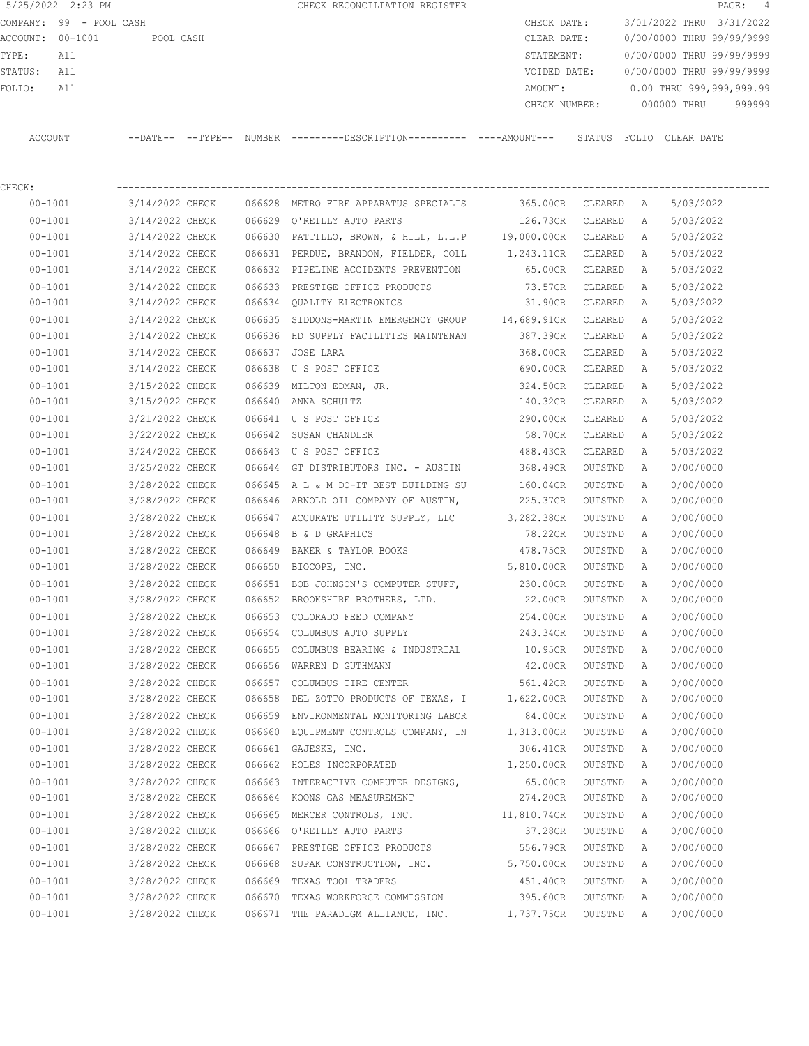|                  | 5/25/2022 2:23 PM       |           |                            | CHECK RECONCILIATION REGISTER                       |               |                         |             | PAGE: 4                   |  |
|------------------|-------------------------|-----------|----------------------------|-----------------------------------------------------|---------------|-------------------------|-------------|---------------------------|--|
|                  | COMPANY: 99 - POOL CASH |           |                            |                                                     | CHECK DATE:   |                         |             | 3/01/2022 THRU 3/31/2022  |  |
| ACCOUNT: 00-1001 |                         | POOL CASH |                            |                                                     | CLEAR DATE:   |                         |             | 0/00/0000 THRU 99/99/9999 |  |
| TYPE:            | All                     |           |                            |                                                     | STATEMENT:    |                         |             | 0/00/0000 THRU 99/99/9999 |  |
| STATUS:          | All                     |           |                            |                                                     | VOIDED DATE:  |                         |             | 0/00/0000 THRU 99/99/9999 |  |
| FOLIO:           | All                     |           |                            |                                                     | AMOUNT:       |                         |             | 0.00 THRU 999,999,999.99  |  |
|                  |                         |           |                            |                                                     | CHECK NUMBER: |                         | 000000 THRU | 999999                    |  |
|                  |                         |           |                            |                                                     |               |                         |             |                           |  |
| ACCOUNT          |                         |           | $--$ DATE $- --$ TYPE $--$ | NUMBER ---------DESCRIPTION---------- ----AMOUNT--- |               | STATUS FOLIO CLEAR DATE |             |                           |  |
|                  |                         |           |                            |                                                     |               |                         |             |                           |  |
|                  |                         |           |                            |                                                     |               |                         |             |                           |  |

| CHECK:      |                                      |        |                                                                   |                    |         |   |           |
|-------------|--------------------------------------|--------|-------------------------------------------------------------------|--------------------|---------|---|-----------|
| $00 - 1001$ |                                      |        |                                                                   | 365.00CR CLEARED A |         |   | 5/03/2022 |
| $00 - 1001$ | 3/14/2022 CHECK                      |        | 066629 O'REILLY AUTO PARTS                                        | 126.73CR           | CLEARED | A | 5/03/2022 |
| $00 - 1001$ | 3/14/2022 CHECK                      | 066630 | PATTILLO, BROWN, & HILL, L.L.P 19,000.00CR                        |                    | CLEARED | A | 5/03/2022 |
| $00 - 1001$ | 3/14/2022 CHECK                      |        | 066631 PERDUE, BRANDON, FIELDER, COLL 1,243.11CR CLEARED          |                    |         | А | 5/03/2022 |
| $00 - 1001$ | 3/14/2022 CHECK                      |        | 066632 PIPELINE ACCIDENTS PREVENTION 65.00CR                      |                    | CLEARED | А | 5/03/2022 |
| $00 - 1001$ | 3/14/2022 CHECK                      |        | 066633 PRESTIGE OFFICE PRODUCTS 73.57CR                           |                    | CLEARED | А | 5/03/2022 |
| $00 - 1001$ |                                      |        | 3/14/2022 CHECK 066634 QUALITY ELECTRONICS                        | 31.90CR            | CLEARED | A | 5/03/2022 |
| $00 - 1001$ |                                      |        | 3/14/2022 CHECK 066635 SIDDONS-MARTIN EMERGENCY GROUP 14,689.91CR |                    | CLEARED | A | 5/03/2022 |
| $00 - 1001$ |                                      |        | 3/14/2022 CHECK 066636 HD SUPPLY FACILITIES MAINTENAN             | 387.39CR           | CLEARED | A | 5/03/2022 |
| $00 - 1001$ | 3/14/2022 CHECK                      |        | 066637 JOSE LARA                                                  | 368.00CR           | CLEARED | A | 5/03/2022 |
| $00 - 1001$ | 3/14/2022 CHECK                      |        | 066638 U S POST OFFICE                                            | 690.00CR CLEARED   |         | A | 5/03/2022 |
| $00 - 1001$ | 3/15/2022 CHECK                      |        | 066639 MILTON EDMAN, JR.                                          | 324.50CR           | CLEARED | A | 5/03/2022 |
| $00 - 1001$ | 3/15/2022 CHECK                      |        | 066640 ANNA SCHULTZ                                               | 140.32CR           | CLEARED | A | 5/03/2022 |
| $00 - 1001$ | 3/21/2022 CHECK                      |        | 066641 U S POST OFFICE                                            | 290.00CR           | CLEARED | A | 5/03/2022 |
| $00 - 1001$ | 3/22/2022 CHECK                      |        | 066642 SUSAN CHANDLER                                             | 58.70CR            | CLEARED | A | 5/03/2022 |
| $00 - 1001$ | 3/24/2022 CHECK                      |        | 066643 U S POST OFFICE                                            | 488.43CR           | CLEARED | Α | 5/03/2022 |
| $00 - 1001$ |                                      |        | 3/25/2022 CHECK 066644 GT DISTRIBUTORS INC. - AUSTIN              | 368.49CR           | OUTSTND | A | 0/00/0000 |
| $00 - 1001$ |                                      |        | 3/28/2022 CHECK 066645 A L & M DO-IT BEST BUILDING SU             | 160.04CR           | OUTSTND | A | 0/00/0000 |
| $00 - 1001$ |                                      |        | 3/28/2022 CHECK 066646 ARNOLD OIL COMPANY OF AUSTIN, 225.37CR     |                    | OUTSTND | A | 0/00/0000 |
| $00 - 1001$ |                                      |        | 3/28/2022 CHECK 066647 ACCURATE UTILITY SUPPLY, LLC 3, 282.38CR   |                    | OUTSTND | A | 0/00/0000 |
| $00 - 1001$ | 3/28/2022 CHECK                      |        | 066648 B & D GRAPHICS                                             | 78.22CR            | OUTSTND | A | 0/00/0000 |
| $00 - 1001$ | 3/28/2022 CHECK                      |        | 066649 BAKER & TAYLOR BOOKS                                       | 478.75CR           | OUTSTND | A | 0/00/0000 |
| $00 - 1001$ | 3/28/2022 CHECK                      |        | 066650 BIOCOPE, INC.                                              | 5,810.00CR         | OUTSTND | А | 0/00/0000 |
| $00 - 1001$ | 3/28/2022 CHECK                      |        | 066651 BOB JOHNSON'S COMPUTER STUFF,                              | 230.00CR           | OUTSTND | A | 0/00/0000 |
| $00 - 1001$ | 3/28/2022 CHECK                      |        | 066652 BROOKSHIRE BROTHERS, LTD.                                  | 22.00CR            | OUTSTND | A | 0/00/0000 |
| $00 - 1001$ | 3/28/2022 CHECK                      | 066653 | COLORADO FEED COMPANY                                             | 254.00CR           | OUTSTND | A | 0/00/0000 |
| $00 - 1001$ | 3/28/2022 CHECK                      |        | 066654 COLUMBUS AUTO SUPPLY                                       | 243.34CR           | OUTSTND | A | 0/00/0000 |
| $00 - 1001$ | 3/28/2022 CHECK                      |        | 066655 COLUMBUS BEARING & INDUSTRIAL 10.95CR                      |                    | OUTSTND | Α | 0/00/0000 |
| $00 - 1001$ | 3/28/2022 CHECK                      |        | 066656 WARREN D GUTHMANN                                          | 42.00CR            | OUTSTND | Α | 0/00/0000 |
| $00 - 1001$ | 3/28/2022 CHECK                      |        | 066657 COLUMBUS TIRE CENTER 666657 COLUMBUS TIRE CENTER           |                    | OUTSTND | Α | 0/00/0000 |
| $00 - 1001$ |                                      |        | 3/28/2022 CHECK 066658 DEL ZOTTO PRODUCTS OF TEXAS, I 1,622.00CR  |                    | OUTSTND | Α | 0/00/0000 |
| $00 - 1001$ | 3/28/2022 CHECK                      |        | 066659 ENVIRONMENTAL MONITORING LABOR                             | 84.00CR            | OUTSTND | A | 0/00/0000 |
| $00 - 1001$ | 3/28/2022 CHECK                      |        | 066660 EQUIPMENT CONTROLS COMPANY, IN 1,313.00CR                  |                    | OUTSTND | A | 0/00/0000 |
| $00 - 1001$ | 3/28/2022 CHECK 066661 GAJESKE, INC. |        |                                                                   | 306.41CR           | OUTSTND | A | 0/00/0000 |
| $00 - 1001$ | 3/28/2022 CHECK                      |        | 066662 HOLES INCORPORATED                                         | 1,250.00CR         | OUTSTND | A | 0/00/0000 |
| $00 - 1001$ | 3/28/2022 CHECK                      |        | 066663 INTERACTIVE COMPUTER DESIGNS,                              | 65.00CR            | OUTSTND | Α | 0/00/0000 |
| $00 - 1001$ | 3/28/2022 CHECK                      |        | 066664 KOONS GAS MEASUREMENT                                      | 274.20CR           | OUTSTND | Α | 0/00/0000 |
| $00 - 1001$ | 3/28/2022 CHECK                      | 066665 | MERCER CONTROLS, INC.                                             | 11,810.74CR        | OUTSTND | Α | 0/00/0000 |
| $00 - 1001$ | 3/28/2022 CHECK                      | 066666 | O'REILLY AUTO PARTS                                               | 37.28CR            | OUTSTND | Α | 0/00/0000 |
| $00 - 1001$ | 3/28/2022 CHECK                      |        | 066667 PRESTIGE OFFICE PRODUCTS                                   | 556.79CR           | OUTSTND | Α | 0/00/0000 |
| $00 - 1001$ | 3/28/2022 CHECK                      | 066668 | SUPAK CONSTRUCTION, INC.                                          | 5,750.00CR         | OUTSTND | Α | 0/00/0000 |
| $00 - 1001$ | 3/28/2022 CHECK                      | 066669 | TEXAS TOOL TRADERS                                                | 451.40CR           | OUTSTND | Α | 0/00/0000 |
| $00 - 1001$ | 3/28/2022 CHECK                      | 066670 | TEXAS WORKFORCE COMMISSION                                        | 395.60CR           | OUTSTND | Α | 0/00/0000 |
| $00 - 1001$ | 3/28/2022 CHECK                      |        | 066671 THE PARADIGM ALLIANCE, INC.                                | 1,737.75CR         | OUTSTND | Α | 0/00/0000 |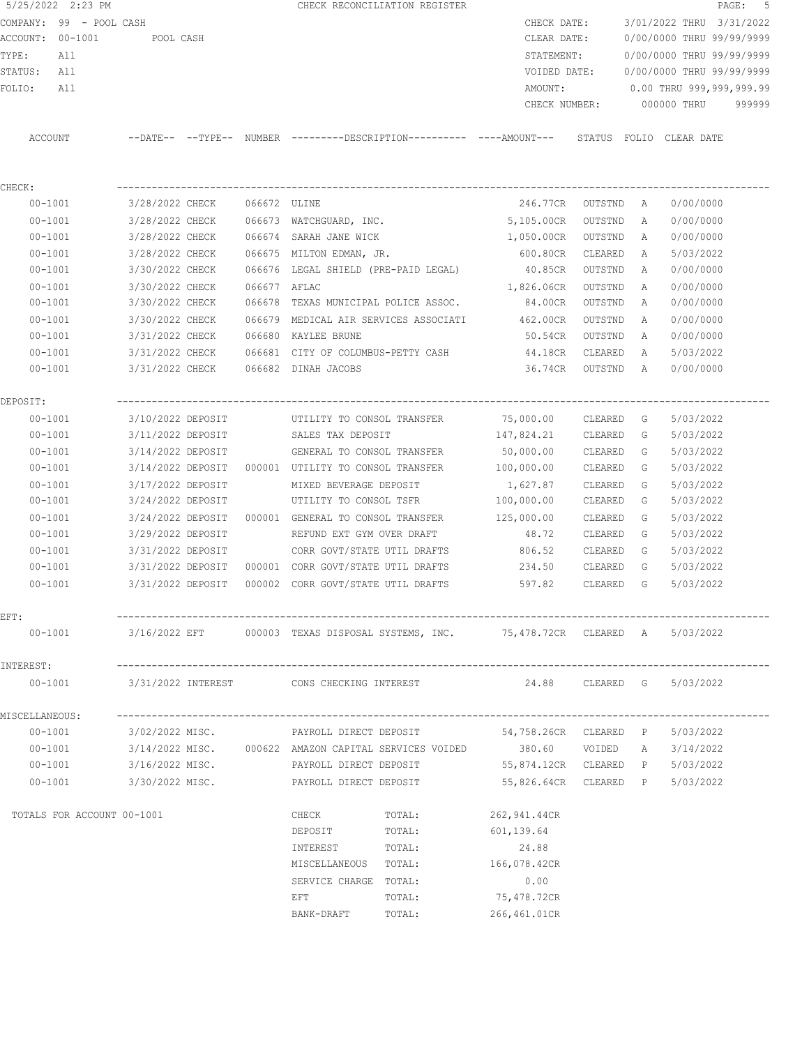| 5/25/2022 2:23 PM          |                   |              | CHECK RECONCILIATION REGISTER                                                                |                                 |           |              | PAGE: 5                             |
|----------------------------|-------------------|--------------|----------------------------------------------------------------------------------------------|---------------------------------|-----------|--------------|-------------------------------------|
| COMPANY: 99 - POOL CASH    |                   |              |                                                                                              | CHECK DATE:                     |           |              | 3/01/2022 THRU 3/31/2022            |
| ACCOUNT: 00-1001           | POOL CASH         |              |                                                                                              | CLEAR DATE:                     |           |              | 0/00/0000 THRU 99/99/9999           |
| TYPE:<br>All               |                   |              |                                                                                              | STATEMENT:                      |           |              | 0/00/0000 THRU 99/99/9999           |
| All<br>STATUS:             |                   |              |                                                                                              | VOIDED DATE:                    |           |              | 0/00/0000 THRU 99/99/9999           |
| All<br>FOLIO:              |                   |              |                                                                                              | AMOUNT:                         |           |              | 0.00 THRU 999,999,999.99            |
|                            |                   |              |                                                                                              |                                 |           |              | CHECK NUMBER: 000000 THRU<br>999999 |
| ACCOUNT                    |                   |              | --DATE-- --TYPE-- NUMBER --------DESCRIPTION---------- ----AMOUNT--- STATUS FOLIO CLEAR DATE |                                 |           |              |                                     |
| CHECK:                     |                   |              |                                                                                              |                                 |           |              |                                     |
| $00 - 1001$                | 3/28/2022 CHECK   | 066672 ULINE |                                                                                              | 246.77CR OUTSTND A              |           |              | 0/00/0000                           |
| $00 - 1001$                |                   |              | 3/28/2022 CHECK 066673 WATCHGUARD, INC.                                                      | 5,105.00CR OUTSTND              |           | A            | 0/00/0000                           |
| $00 - 1001$                | 3/28/2022 CHECK   |              | 066674 SARAH JANE WICK                                                                       | 1,050.00CR OUTSTND              |           | A            | 0/00/0000                           |
| $00 - 1001$                | 3/28/2022 CHECK   |              | 066675 MILTON EDMAN, JR.                                                                     | 600.80CR                        | CLEARED   | Α            | 5/03/2022                           |
| $00 - 1001$                | 3/30/2022 CHECK   |              | 066676 LEGAL SHIELD (PRE-PAID LEGAL) 40.85CR                                                 |                                 | OUTSTND   | Α            | 0/00/0000                           |
| $00 - 1001$                | 3/30/2022 CHECK   | 066677 AFLAC |                                                                                              | 1,826.06CR                      | OUTSTND   | Α            | 0/00/0000                           |
| $00 - 1001$                | 3/30/2022 CHECK   |              | 066678 TEXAS MUNICIPAL POLICE ASSOC. 84.00CR                                                 |                                 | OUTSTND   | Α            | 0/00/0000                           |
| $00 - 1001$                | 3/30/2022 CHECK   |              | 066679 MEDICAL AIR SERVICES ASSOCIATI                                                        | 462.00CR                        | OUTSTND   | Α            | 0/00/0000                           |
| $00 - 1001$                | 3/31/2022 CHECK   |              | 066680 KAYLEE BRUNE                                                                          | 50.54CR                         | OUTSTND   | A            | 0/00/0000                           |
| $00 - 1001$                |                   |              | 3/31/2022 CHECK 066681 CITY OF COLUMBUS-PETTY CASH                                           | 44.18CR                         | CLEARED   | A            | 5/03/2022                           |
| $00 - 1001$                | 3/31/2022 CHECK   |              | 066682 DINAH JACOBS                                                                          | 36.74CR OUTSTND A               |           |              | 0/00/0000                           |
| DEPOSIT:                   |                   |              |                                                                                              |                                 |           |              |                                     |
| $00 - 1001$                | 3/10/2022 DEPOSIT |              | UTILITY TO CONSOL TRANSFER 75,000.00                                                         |                                 | CLEARED G |              | 5/03/2022                           |
| $00 - 1001$                | 3/11/2022 DEPOSIT |              | SALES TAX DEPOSIT                                                                            | 147,824.21                      | CLEARED   | G            | 5/03/2022                           |
| $00 - 1001$                | 3/14/2022 DEPOSIT |              | GENERAL TO CONSOL TRANSFER 50,000.00                                                         |                                 | CLEARED   | G            | 5/03/2022                           |
| $00 - 1001$                | 3/14/2022 DEPOSIT |              | 000001 UTILITY TO CONSOL TRANSFER 100,000.00                                                 |                                 | CLEARED   | G            | 5/03/2022                           |
| $00 - 1001$                | 3/17/2022 DEPOSIT |              | MIXED BEVERAGE DEPOSIT                                                                       | 1,627.87                        | CLEARED   | G            | 5/03/2022                           |
| $00 - 1001$                | 3/24/2022 DEPOSIT |              | UTILITY TO CONSOL TSFR 100,000.00                                                            |                                 | CLEARED   | G            | 5/03/2022                           |
| $00 - 1001$                |                   |              | 3/24/2022 DEPOSIT 000001 GENERAL TO CONSOL TRANSFER                                          | 125,000.00                      | CLEARED   | G            | 5/03/2022                           |
| $00 - 1001$                | 3/29/2022 DEPOSIT |              | REFUND EXT GYM OVER DRAFT                                                                    | 48.72                           | CLEARED   | G            | 5/03/2022                           |
| $00 - 1001$                | 3/31/2022 DEPOSIT |              | CORR GOVT/STATE UTIL DRAFTS                                                                  | 806.52                          | CLEARED   | G            | 5/03/2022                           |
| $00 - 1001$                | 3/31/2022 DEPOSIT |              | 000001 CORR GOVT/STATE UTIL DRAFTS                                                           | 234.50                          | CLEARED   | $\mathbb{G}$ | 5/03/2022                           |
| $00 - 1001$                | 3/31/2022 DEPOSIT |              | 000002 CORR GOVT/STATE UTIL DRAFTS                                                           | 597.82                          | CLEARED   | G            | 5/03/2022                           |
| EFT:                       |                   |              |                                                                                              |                                 |           |              |                                     |
| $00 - 1001$                |                   |              | $3/16/2022$ EFT $000003$ TEXAS DISPOSAL SYSTEMS, INC. $75,478.72$ CR CLEARED A $5/03/2022$   |                                 |           |              |                                     |
| INTEREST:                  |                   |              |                                                                                              |                                 |           |              |                                     |
| $00 - 1001$                |                   |              | 3/31/2022 INTEREST               CONS CHECKING INTEREST                                      | 24.88 CLEARED G 5/03/2022       |           |              |                                     |
| MISCELLANEOUS:             |                   |              |                                                                                              |                                 |           |              |                                     |
| $00 - 1001$                | 3/02/2022 MISC.   |              | PAYROLL DIRECT DEPOSIT                                                                       | 54,758.26CR CLEARED P 5/03/2022 |           |              |                                     |
| 00-1001                    |                   |              | 3/14/2022 MISC. 000622 AMAZON CAPITAL SERVICES VOIDED                                        | 380.60 VOIDED A 3/14/2022       |           |              |                                     |
| 00-1001                    | 3/16/2022 MISC.   |              | PAYROLL DIRECT DEPOSIT                                                                       | 55,874.12CR CLEARED P 5/03/2022 |           |              |                                     |
| 00-1001                    | 3/30/2022 MISC.   |              | PAYROLL DIRECT DEPOSIT                                                                       | 55,826.64CR CLEARED P 5/03/2022 |           |              |                                     |
| TOTALS FOR ACCOUNT 00-1001 |                   |              | CHECK<br>TOTAL:                                                                              | 262,941.44CR                    |           |              |                                     |
|                            |                   |              | DEPOSIT<br>TOTAL:                                                                            | 601,139.64                      |           |              |                                     |
|                            |                   |              | TOTAL:<br>INTEREST                                                                           | 24.88                           |           |              |                                     |
|                            |                   |              | MISCELLANEOUS TOTAL:                                                                         | 166,078.42CR                    |           |              |                                     |
|                            |                   |              | SERVICE CHARGE TOTAL:                                                                        | 0.00                            |           |              |                                     |
|                            |                   |              | EFT<br>TOTAL:                                                                                | 75,478.72CR                     |           |              |                                     |
|                            |                   |              | TOTAL:<br>BANK-DRAFT                                                                         | 266,461.01CR                    |           |              |                                     |